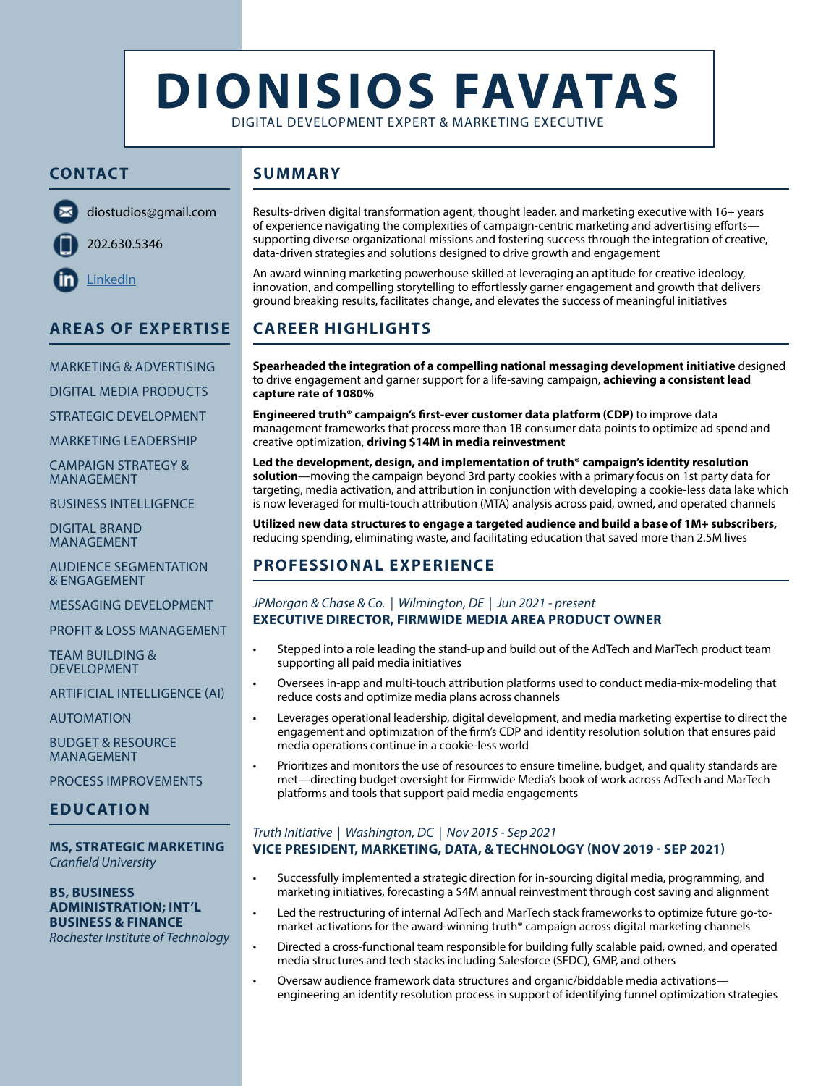# **DIONISIOS FAVATAS**

DIGITAL DEVELOPMENT EXPERT & MARKETING EXECUTIVE

## **CONTACT SUMMARY**



202.630.5346

diostudios@gmail.com

**LinkedIn** 

#### Results-driven digital transformation agent, thought leader, and marketing executive with 16+ years of experience navigating the complexities of campaign-centric marketing and advertising efforts supporting diverse organizational missions and fostering success through the integration of creative, data-driven strategies and solutions designed to drive growth and engagement

An award winning marketing powerhouse skilled at leveraging an aptitude for creative ideology, innovation, and compelling storytelling to effortlessly garner engagement and growth that delivers ground breaking results, facilitates change, and elevates the success of meaningful initiatives

# **CAREER HIGHLIGHTS**

**Spearheaded the integration of a compelling national messaging development initiative** designed to drive engagement and garner support for a life-saving campaign, **achieving a consistent lead capture rate of 1080%** 

**Engineered truth® campaign's first-ever customer data platform (CDP)** to improve data management frameworks that process more than 1B consumer data points to optimize ad spend and creative optimization, **driving \$14M in media reinvestment**

**Led the development, design, and implementation of truth® campaign's identity resolution solution**—moving the campaign beyond 3rd party cookies with a primary focus on 1st party data for targeting, media activation, and attribution in conjunction with developing a cookie-less data lake which is now leveraged for multi-touch attribution (MTA) analysis across paid, owned, and operated channels

**Utilized new data structures to engage a targeted audience and build a base of 1M+ subscribers,** reducing spending, eliminating waste, and facilitating education that saved more than 2.5M lives

# **PROFESSIONAL EXPERIENCE**

#### *JPMorgan & Chase & Co. | Wilmington, DE | Jun 2021 - present* **EXECUTIVE DIRECTOR, FIRMWIDE MEDIA AREA PRODUCT OWNER**

- Stepped into a role leading the stand-up and build out of the AdTech and MarTech product team supporting all paid media initiatives
- Oversees in-app and multi-touch attribution platforms used to conduct media-mix-modeling that reduce costs and optimize media plans across channels
- Leverages operational leadership, digital development, and media marketing expertise to direct the engagement and optimization of the firm's CDP and identity resolution solution that ensures paid media operations continue in a cookie-less world
- Prioritizes and monitors the use of resources to ensure timeline, budget, and quality standards are met—directing budget oversight for Firmwide Media's book of work across AdTech and MarTech platforms and tools that support paid media engagements

#### *Truth Initiative | Washington, DC | Nov 2015 - Sep 2021* **VICE PRESIDENT, MARKETING, DATA, & TECHNOLOGY (NOV 2019 - SEP 2021)**

- Successfully implemented a strategic direction for in-sourcing digital media, programming, and marketing initiatives, forecasting a \$4M annual reinvestment through cost saving and alignment
- Led the restructuring of internal AdTech and MarTech stack frameworks to optimize future go-tomarket activations for the award-winning truth® campaign across digital marketing channels
- Directed a cross-functional team responsible for building fully scalable paid, owned, and operated media structures and tech stacks including Salesforce (SFDC), GMP, and others
- Oversaw audience framework data structures and organic/biddable media activations engineering an identity resolution process in support of identifying funnel optimization strategies

## **AREAS OF EXPERTISE**

MARKETING & ADVERTISING

DIGITAL MEDIA PRODUCTS

STRATEGIC DEVELOPMENT

MARKETING LEADERSHIP

CAMPAIGN STRATEGY & MANAGEMENT

BUSINESS INTELLIGENCE

DIGITAL BRAND MANAGEMENT

AUDIENCE SEGMENTATION & ENGAGEMENT

MESSAGING DEVELOPMENT

PROFIT & LOSS MANAGEMENT

TEAM BUILDING & DEVELOPMENT

ARTIFICIAL INTELLIGENCE (AI)

AUTOMATION

BUDGET & RESOURCE MANAGEMENT

PROCESS IMPROVEMENTS

## **EDUCATION**

#### **MS, STRATEGIC MARKETING** *Cranfield University*

**BS, BUSINESS ADMINISTRATION; INT'L BUSINESS & FINANCE** *Rochester Institute of Technology*